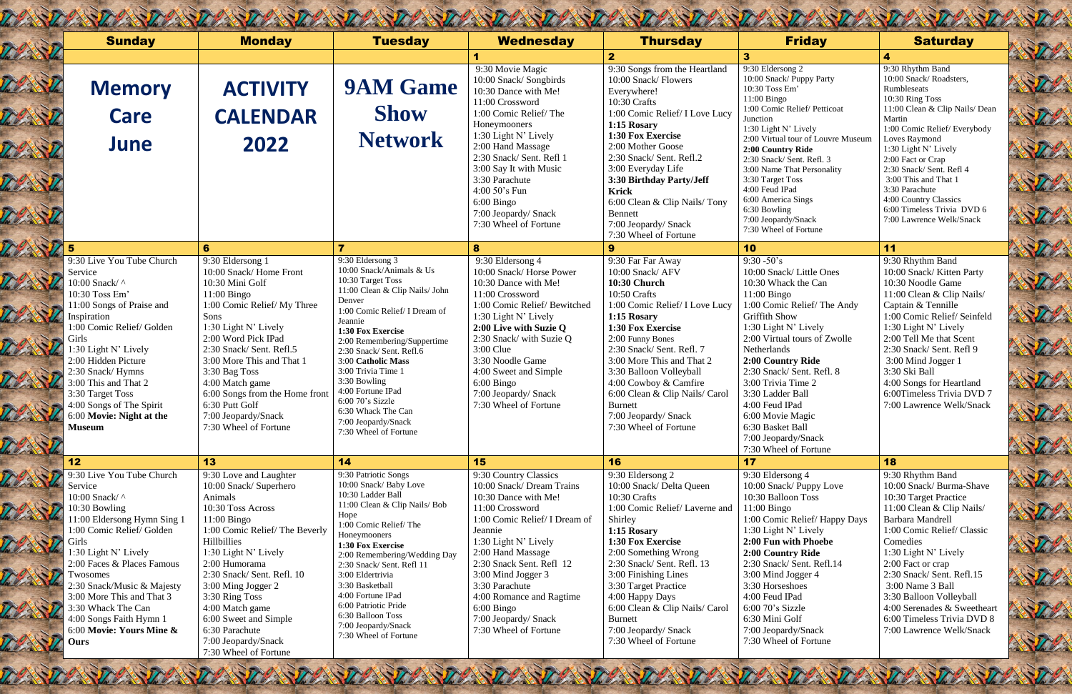9:30 Rhythm Band 10:00 Snack/Roadsters, Rumbleseats 10:30 Ring Toss 11:00 Clean & Clip Nails/ Dean Martin 1:00 Comic Relief/ Everybody Loves Raymond 1:30 Light N' Lively 2:00 Fact or Crap 2:30 Snack/ Sent. Refl 4 3:00 This and That 1 3:30 Parachute 4:00 Country Classics 6:00 Timeless Trivia DVD 6 7:00 Lawrence Welk/Snack

| <b>Sunday</b>                                                                                                                                                                                                                                                                                                                                                  | <b>Monday</b>                                                                                                                                                                                                                                                                                                                                                                  | <b>Tuesday</b>                                                                                                                                                                                                                                                                                                                                                                                                        | <b>Wednesday</b>                                                                                                                                                                                                                                                                                                                                       | <b>Thursday</b>                                                                                                                                                                                                                                                                                                                                                                    | <b>Friday</b>                                                                                                                                                                                                                                                                                                                                                                                                        | <b>Saturday</b>                                                                                                                                                                                                                                                                                                                                              |
|----------------------------------------------------------------------------------------------------------------------------------------------------------------------------------------------------------------------------------------------------------------------------------------------------------------------------------------------------------------|--------------------------------------------------------------------------------------------------------------------------------------------------------------------------------------------------------------------------------------------------------------------------------------------------------------------------------------------------------------------------------|-----------------------------------------------------------------------------------------------------------------------------------------------------------------------------------------------------------------------------------------------------------------------------------------------------------------------------------------------------------------------------------------------------------------------|--------------------------------------------------------------------------------------------------------------------------------------------------------------------------------------------------------------------------------------------------------------------------------------------------------------------------------------------------------|------------------------------------------------------------------------------------------------------------------------------------------------------------------------------------------------------------------------------------------------------------------------------------------------------------------------------------------------------------------------------------|----------------------------------------------------------------------------------------------------------------------------------------------------------------------------------------------------------------------------------------------------------------------------------------------------------------------------------------------------------------------------------------------------------------------|--------------------------------------------------------------------------------------------------------------------------------------------------------------------------------------------------------------------------------------------------------------------------------------------------------------------------------------------------------------|
|                                                                                                                                                                                                                                                                                                                                                                |                                                                                                                                                                                                                                                                                                                                                                                |                                                                                                                                                                                                                                                                                                                                                                                                                       |                                                                                                                                                                                                                                                                                                                                                        | $\overline{2}$                                                                                                                                                                                                                                                                                                                                                                     | 3                                                                                                                                                                                                                                                                                                                                                                                                                    | 4                                                                                                                                                                                                                                                                                                                                                            |
| <b>Memory</b>                                                                                                                                                                                                                                                                                                                                                  | <b>ACTIVITY</b>                                                                                                                                                                                                                                                                                                                                                                | <b>9AM Game</b>                                                                                                                                                                                                                                                                                                                                                                                                       | 9:30 Movie Magic<br>10:00 Snack/Songbirds<br>10:30 Dance with Me!<br>11:00 Crossword                                                                                                                                                                                                                                                                   | 9:30 Songs from the Heartland<br>10:00 Snack/ Flowers<br>Everywhere!<br>10:30 Crafts                                                                                                                                                                                                                                                                                               | 9:30 Eldersong 2<br>10:00 Snack/ Puppy Party<br>10:30 Toss Em'<br>$11:00$ Bingo                                                                                                                                                                                                                                                                                                                                      | 9:30 Rhythm Band<br>10:00 Snack/Roadsters,<br>Rumbleseats<br>10:30 Ring Toss                                                                                                                                                                                                                                                                                 |
| <b>Care</b>                                                                                                                                                                                                                                                                                                                                                    | <b>CALENDAR</b>                                                                                                                                                                                                                                                                                                                                                                | <b>Show</b>                                                                                                                                                                                                                                                                                                                                                                                                           | 1:00 Comic Relief/The                                                                                                                                                                                                                                                                                                                                  | 1:00 Comic Relief/ I Love Lucy                                                                                                                                                                                                                                                                                                                                                     | 1:00 Comic Relief/ Petticoat<br>Junction                                                                                                                                                                                                                                                                                                                                                                             | 11:00 Clean & Clip Nails<br>Martin                                                                                                                                                                                                                                                                                                                           |
| June                                                                                                                                                                                                                                                                                                                                                           | 2022                                                                                                                                                                                                                                                                                                                                                                           | <b>Network</b>                                                                                                                                                                                                                                                                                                                                                                                                        | Honeymooners<br>1:30 Light N' Lively<br>2:00 Hand Massage<br>2:30 Snack/ Sent. Refl 1<br>3:00 Say It with Music<br>3:30 Parachute<br>4:00 $50$ 's Fun                                                                                                                                                                                                  | 1:15 Rosary<br>1:30 Fox Exercise<br>2:00 Mother Goose<br>2:30 Snack/ Sent. Refl.2<br>3:00 Everyday Life<br>3:30 Birthday Party/Jeff<br><b>Krick</b>                                                                                                                                                                                                                                | 1:30 Light N' Lively<br>2:00 Virtual tour of Louvre Museum<br>2:00 Country Ride<br>2:30 Snack/ Sent. Refl. 3<br>3:00 Name That Personality<br>3:30 Target Toss<br>4:00 Feud IPad<br>6:00 America Sings                                                                                                                                                                                                               | 1:00 Comic Relief/Every<br>Loves Raymond<br>1:30 Light N' Lively<br>2:00 Fact or Crap<br>2:30 Snack/ Sent. Refl 4<br>3:00 This and That 1<br>3:30 Parachute<br>4:00 Country Classics                                                                                                                                                                         |
|                                                                                                                                                                                                                                                                                                                                                                |                                                                                                                                                                                                                                                                                                                                                                                |                                                                                                                                                                                                                                                                                                                                                                                                                       | $6:00$ Bingo<br>7:00 Jeopardy/ Snack                                                                                                                                                                                                                                                                                                                   | 6:00 Clean & Clip Nails/Tony<br><b>Bennett</b>                                                                                                                                                                                                                                                                                                                                     | 6:30 Bowling                                                                                                                                                                                                                                                                                                                                                                                                         | 6:00 Timeless Trivia DV                                                                                                                                                                                                                                                                                                                                      |
|                                                                                                                                                                                                                                                                                                                                                                |                                                                                                                                                                                                                                                                                                                                                                                |                                                                                                                                                                                                                                                                                                                                                                                                                       | 7:30 Wheel of Fortune                                                                                                                                                                                                                                                                                                                                  | 7:00 Jeopardy/ Snack<br>7:30 Wheel of Fortune                                                                                                                                                                                                                                                                                                                                      | 7:00 Jeopardy/Snack<br>7:30 Wheel of Fortune                                                                                                                                                                                                                                                                                                                                                                         | 7:00 Lawrence Welk/Sna                                                                                                                                                                                                                                                                                                                                       |
|                                                                                                                                                                                                                                                                                                                                                                | 6                                                                                                                                                                                                                                                                                                                                                                              | $\overline{\mathbf{z}}$                                                                                                                                                                                                                                                                                                                                                                                               | 8                                                                                                                                                                                                                                                                                                                                                      | 9                                                                                                                                                                                                                                                                                                                                                                                  | 10                                                                                                                                                                                                                                                                                                                                                                                                                   | 11                                                                                                                                                                                                                                                                                                                                                           |
| 9:30 Live You Tube Church<br>Service<br>10:00 Snack/ ^<br>10:30 Toss Em'<br>11:00 Songs of Praise and<br>Inspiration<br>1:00 Comic Relief/ Golden<br>Girls<br>1:30 Light N' Lively<br>2:00 Hidden Picture<br>2:30 Snack/Hymns<br>3:00 This and That 2<br>3:30 Target Toss<br>4:00 Songs of The Spirit<br>6:00 Movie: Night at the<br><b>Museum</b>             | 9:30 Eldersong 1<br>10:00 Snack/Home Front<br>10:30 Mini Golf<br>$11:00$ Bingo<br>1:00 Comic Relief/My Three<br>Sons<br>1:30 Light N' Lively<br>2:00 Word Pick IPad<br>2:30 Snack/Sent. Refl.5<br>3:00 More This and That 1<br>3:30 Bag Toss<br>4:00 Match game<br>6:00 Songs from the Home front<br>6:30 Putt Golf<br>7:00 Jeopardy/Snack<br>7:30 Wheel of Fortune            | 9:30 Eldersong 3<br>10:00 Snack/Animals & Us<br>10:30 Target Toss<br>11:00 Clean & Clip Nails/ John<br>Denver<br>1:00 Comic Relief/ I Dream of<br>Jeannie<br>1:30 Fox Exercise<br>2:00 Remembering/Suppertime<br>2:30 Snack/Sent. Refl.6<br>3:00 Catholic Mass<br>3:00 Trivia Time 1<br>3:30 Bowling<br>4:00 Fortune IPad<br>$6:0070$ 's Sizzle<br>6:30 Whack The Can<br>7:00 Jeopardy/Snack<br>7:30 Wheel of Fortune | 9:30 Eldersong 4<br>10:00 Snack/Horse Power<br>10:30 Dance with Me!<br>11:00 Crossword<br>1:00 Comic Relief/Bewitched<br>1:30 Light N' Lively<br>2:00 Live with Suzie Q<br>2:30 Snack/ with Suzie Q<br>$3:00$ Clue<br>3:30 Noodle Game<br>4:00 Sweet and Simple<br>$6:00$ Bingo<br>7:00 Jeopardy/ Snack<br>7:30 Wheel of Fortune                       | 9:30 Far Far Away<br>10:00 Snack/ AFV<br><b>10:30 Church</b><br>10:50 Crafts<br>1:00 Comic Relief/ I Love Lucy<br>1:15 Rosary<br>1:30 Fox Exercise<br>2:00 Funny Bones<br>2:30 Snack/ Sent. Refl. 7<br>3:00 More This and That 2<br>3:30 Balloon Volleyball<br>4:00 Cowboy & Camfire<br>6:00 Clean & Clip Nails/ Carol<br>Burnett<br>7:00 Jeopardy/ Snack<br>7:30 Wheel of Fortune | $9:30 - 50's$<br>10:00 Snack/ Little Ones<br>10:30 Whack the Can<br>$11:00$ Bingo<br>1:00 Comic Relief/The Andy<br><b>Griffith Show</b><br>1:30 Light N' Lively<br>2:00 Virtual tours of Zwolle<br>Netherlands<br>2:00 Country Ride<br>2:30 Snack/ Sent. Refl. 8<br>3:00 Trivia Time 2<br>3:30 Ladder Ball<br>4:00 Feud IPad<br>6:00 Movie Magic<br>6:30 Basket Ball<br>7:00 Jeopardy/Snack<br>7:30 Wheel of Fortune | 9:30 Rhythm Band<br>10:00 Snack/Kitten Pa<br>10:30 Noodle Game<br>11:00 Clean & Clip Na<br>Captain & Tennille<br>1:00 Comic Relief/ Sei<br>1:30 Light N' Lively<br>2:00 Tell Me that Scent<br>2:30 Snack/ Sent. Refl<br>3:00 Mind Jogger 1<br>3:30 Ski Ball<br>4:00 Songs for Heartlar<br>6:00Timeless Trivia D'<br>7:00 Lawrence Welk/S                     |
| 12                                                                                                                                                                                                                                                                                                                                                             | 13                                                                                                                                                                                                                                                                                                                                                                             | 14                                                                                                                                                                                                                                                                                                                                                                                                                    | 15                                                                                                                                                                                                                                                                                                                                                     | 16                                                                                                                                                                                                                                                                                                                                                                                 | 17                                                                                                                                                                                                                                                                                                                                                                                                                   | 18                                                                                                                                                                                                                                                                                                                                                           |
| 9:30 Live You Tube Church<br>Service<br>10:00 Snack/ ^<br>10:30 Bowling<br>11:00 Eldersong Hymn Sing 1<br>1:00 Comic Relief/ Golden<br>Girls<br>1:30 Light N' Lively<br>2:00 Faces & Places Famous<br>Twosomes<br>2:30 Snack/Music & Majesty<br>3:00 More This and That 3<br>3:30 Whack The Can<br>4:00 Songs Faith Hymn 1<br>6:00 Movie: Yours Mine &<br>Ours | 9:30 Love and Laughter<br>10:00 Snack/ Superhero<br>Animals<br>10:30 Toss Across<br>$11:00$ Bingo<br>1:00 Comic Relief/The Beverly<br>Hillbillies<br>1:30 Light N' Lively<br>2:00 Humorama<br>2:30 Snack/ Sent. Refl. 10<br>3:00 Ming Jogger 2<br>3:30 Ring Toss<br>4:00 Match game<br>6:00 Sweet and Simple<br>6:30 Parachute<br>7:00 Jeopardy/Snack<br>7:30 Wheel of Fortune | 9:30 Patriotic Songs<br>10:00 Snack/ Baby Love<br>10:30 Ladder Ball<br>11:00 Clean & Clip Nails/ Bob<br>Hope<br>1:00 Comic Relief/The<br>Honeymooners<br>1:30 Fox Exercise<br>2:00 Remembering/Wedding Day<br>2:30 Snack/ Sent. Refl 11<br>3:00 Eldertrivia<br>3:30 Basketball<br>4:00 Fortune IPad<br>6:00 Patriotic Pride<br>6:30 Balloon Toss<br>7:00 Jeopardy/Snack<br>7:30 Wheel of Fortune                      | 9:30 Country Classics<br>10:00 Snack/ Dream Trains<br>10:30 Dance with Me!<br>11:00 Crossword<br>1:00 Comic Relief/ I Dream of<br>Jeannie<br>1:30 Light N' Lively<br>2:00 Hand Massage<br>2:30 Snack Sent. Refl 12<br>3:00 Mind Jogger 3<br>3:30 Parachute<br>4:00 Romance and Ragtime<br>$6:00$ Bingo<br>7:00 Jeopardy/Snack<br>7:30 Wheel of Fortune | 9:30 Eldersong 2<br>10:00 Snack/ Delta Queen<br>10:30 Crafts<br>1:00 Comic Relief/Laverne and<br>Shirley<br>1:15 Rosary<br>1:30 Fox Exercise<br>2:00 Something Wrong<br>2:30 Snack/ Sent. Refl. 13<br>3:00 Finishing Lines<br>3:30 Target Practice<br>4:00 Happy Days<br>6:00 Clean & Clip Nails/ Carol<br><b>Burnett</b><br>7:00 Jeopardy/ Snack<br>7:30 Wheel of Fortune         | 9:30 Eldersong 4<br>10:00 Snack/ Puppy Love<br>10:30 Balloon Toss<br>$11:00$ Bingo<br>1:00 Comic Relief/Happy Days<br>1:30 Light N' Lively<br>2:00 Fun with Phoebe<br>2:00 Country Ride<br>2:30 Snack/ Sent. Refl.14<br>3:00 Mind Jogger 4<br>3:30 Horseshoes<br>4:00 Feud IPad<br>$6:0070$ 's Sizzle<br>6:30 Mini Golf<br>7:00 Jeopardy/Snack<br>7:30 Wheel of Fortune                                              | 9:30 Rhythm Band<br>10:00 Snack/Burma-Sl<br>10:30 Target Practice<br>11:00 Clean & Clip Na<br><b>Barbara Mandrell</b><br>1:00 Comic Relief/ Cla<br>Comedies<br>1:30 Light N' Lively<br>2:00 Fact or crap<br>2:30 Snack/ Sent. Refl.<br>3:00 Name 3 Ball<br>3:30 Balloon Volleybal<br>4:00 Serenades & Swee<br>6:00 Timeless Trivia D<br>7:00 Lawrence Welk/S |

9:30 Rhythm Band 10:00 Snack/ Kitten Party 10:30 Noodle Game 11:00 Clean & Clip Nails/ Captain & Tennille 1:00 Comic Relief/ Seinfeld 1:30 Light N' Lively 2:00 Tell Me that Scent 2:30 Snack/ Sent. Refl 9 3:00 Mind Jogger 1 3:30 Ski Ball 4:00 Songs for Heartland 6:00Timeless Trivia DVD 7 7:00 Lawrence Welk/Snack

9:30 Rhythm Band 10:00 Snack/ Burma-Shave 10:30 Target Practice 11:00 Clean & Clip Nails/ Barbara Mandrell 1:00 Comic Relief/ Classic Comedies 1:30 Light N' Lively 2:00 Fact or crap 2:30 Snack/ Sent. Refl.15 3:00 Name 3 Ball 3:30 Balloon Volleyball 4:00 Serenades & Sweetheart 6:00 Timeless Trivia DVD 8 7:00 Lawrence Welk/Snack